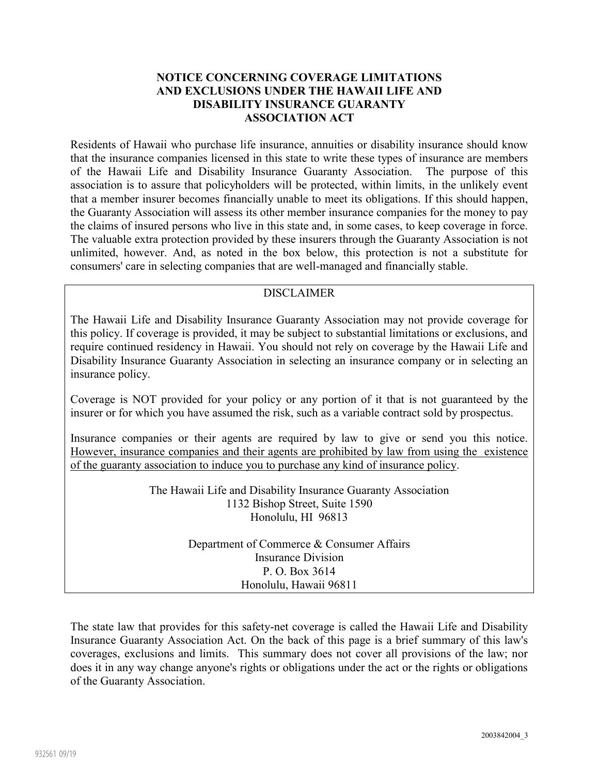### **NOTICE CONCERNING COVERAGE LIMITATIONS AND EXCLUSIONS UNDER THE HAWAII LIFE AND DISABILITY INSURANCE GUARANTY ASSOCIATION ACT**

Residents of Hawaii who purchase life insurance, annuities or disability insurance should know that the insurance companies licensed in this state to write these types of insurance are members of the Hawaii Life and Disability Insurance Guaranty Association. The purpose of this association is to assure that policyholders will be protected, within limits, in the unlikely event that a member insurer becomes financially unable to meet its obligations. If this should happen, the Guaranty Association will assess its other member insurance companies for the money to pay the claims of insured persons who live in this state and, in some cases, to keep coverage in force. The valuable extra protection provided by these insurers through the Guaranty Association is not unlimited, however. And, as noted in the box below, this protection is not a substitute for consumers' care in selecting companies that are well-managed and financially stable.

# DISCLAIMER

The Hawaii Life and Disability Insurance Guaranty Association may not provide coverage for this policy. If coverage is provided, it may be subject to substantial limitations or exclusions, and require continued residency in Hawaii. You should not rely on coverage by the Hawaii Life and Disability Insurance Guaranty Association in selecting an insurance company or in selecting an insurance policy.

Coverage is NOT provided for your policy or any portion of it that is not guaranteed by the insurer or for which you have assumed the risk, such as a variable contract sold by prospectus.

Insurance companies or their agents are required by law to give or send you this notice. However, insurance companies and their agents are prohibited by law from using the existence of the guaranty association to induce you to purchase any kind of insurance policy.

> The Hawaii Life and Disability Insurance Guaranty Association 1132 Bishop Street, Suite 1590 Honolulu, HI 96813

> > Department of Commerce & Consumer Affairs Insurance Division P. O. Box 3614 Honolulu, Hawaii 96811

The state law that provides for this safety-net coverage is called the Hawaii Life and Disability Insurance Guaranty Association Act. On the back of this page is a brief summary of this law's coverages, exclusions and limits. This summary does not cover all provisions of the law; nor does it in any way change anyone's rights or obligations under the act or the rights or obligations of the Guaranty Association.